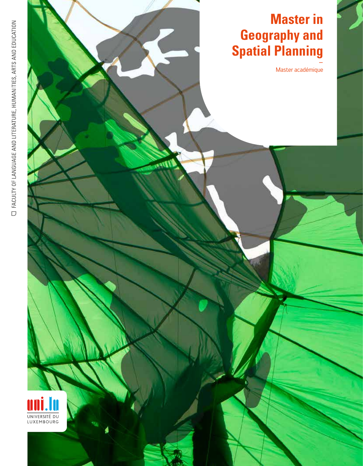Master académique

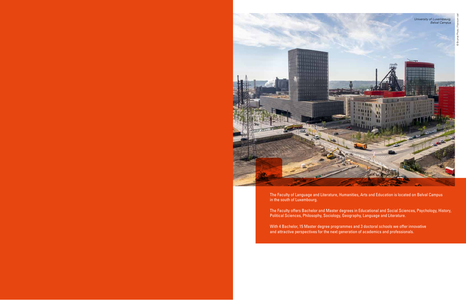

The Faculty offers Bachelor and Master degrees in Educational and Social Sciences, Psychology, History, Political Sciences, Philosophy, Sociology, Geography, Language and Literature.

The Faculty of Language and Literature, Humanities, Arts and Education is located on Belval Campus in the south of Luxembourg.

With 4 Bachelor, 15 Master degree programmes and 3 doctoral schools we offer innovative and attractive perspectives for the next generation of academics and professionals.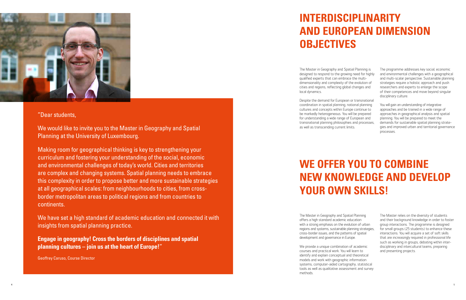# **INTERDISCIPLINARITY AND EUROPEAN DIMENSION OBJECTIVES**

# **WE OFFER YOU TO COMBINE NEW KNOWLEDGE AND DEVELOP YOUR OWN SKILLS!**



### "Dear students,

We would like to invite you to the Master in Geography and Spatial Planning at the University of Luxembourg.

Making room for geographical thinking is key to strengthening your curriculum and fostering your understanding of the social, economic and environmental challenges of today's world. Cities and territories are complex and changing systems. Spatial planning needs to embrace this complexity in order to propose better and more sustainable strategies at all geographical scales: from neighbourhoods to cities, from crossborder metropolitan areas to political regions and from countries to continents.

We have set a high standard of academic education and connected it with insights from spatial planning practice.

**Engage in geography! Cross the borders of disciplines and spatial planning cultures – join us at the heart of Europe!**"

Geoffrey Caruso, Course Director

The Master in Geography and Spatial Planning is designed to respond to the growing need for highly qualified experts that can embrace the multidimensionality and complexity of the evolution of cities and regions, reflecting global changes and local dynamics.

Despite the demand for European or transnational coordination in spatial planning, national planning cultures and concepts within Europe continue to be markedly heterogeneous. You will be prepared for understanding a wide range of European and transnational planning philosophies and processes, as well as transcending current limits.

The programme addresses key social, economic and environmental challenges with a geographical and multi-scalar perspective. Sustainable planning strategies require a holistic approach and push researchers and experts to enlarge the scope of their competences and move beyond singular disciplinary culture.

You will gain an understanding of integrative approaches and be trained in a wide range of approaches in geographical analysis and spatial planning. You will be prepared to meet the demands for sustainable spatial planning strategies and improved urban and territorial governance processes.

The Master in Geography and Spatial Planning offers a high standard academic education with a strong emphasis on the evolution of urban regions and systems, sustainable planning strategies, cross-border issues, and the patterns of spatial development and governance in Europe.

We provide a unique combination of academic courses and practical work. You will learn to identify and explain conceptual and theoretical models and work with geographic information systems, computer-aided cartography, statistical tools as well as qualitative assessment and survey methods.

The Master relies on the diversity of students and their background knowledge in order to foster group interactions. The programme is designed for small groups (25 students) to enhance these interactions. You will acquire a set of soft skills that are increasingly required in professional life such as working in groups, debating within interdisciplinary and intercultural teams, preparing and presenting projects.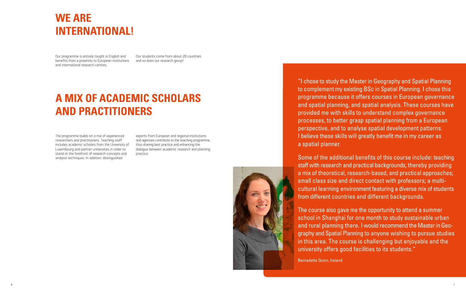"I chose to study the Master in Geography and Spatial Planning to complement my existing BSc in Spatial Planning. I chose this programme because it offers courses in European governance and spatial planning, and spatial analysis. These courses have provided me with skills to understand complex governance processes, to better grasp spatial planning from a European perspective, and to analyse spatial development patterns. I believe these skills will greatly benefit me in my career as a spatial planner.

Some of the additional benefits of this course include: teaching staff with research and practical backgrounds, thereby providing a mix of theoretical, research-based, and practical approaches; small class size and direct contact with professors; a multicultural learning environment featuring a diverse mix of students from different countries and different backgrounds.

The course also gave me the opportunity to attend a summer school in Shanghai for one month to study sustainable urban and rural planning there. I would recommend the Master in Geography and Spatial Planning to anyone wishing to pursue studies in this area. The course is challenging but enjoyable and the university offers good facilities to its students."

Bernadette Quinn, Ireland

# **WE ARE INTERNATIONAL!**

# **A MIX OF ACADEMIC SCHOLARS AND PRACTITIONERS**

Our programme is entirely taught in English and benefits from a proximity to European institutions and international research centres.

Our students come from about 20 countries and so does our research group!

The programme builds on a mix of experienced researchers and practitioners. Teaching staff includes academic scholars from the University of Luxembourg and partner universities in order to stand at the forefront of research concepts and analysis techniques. In addition, distinguished

experts from European and regional institutions and agencies contribute to the teaching programme, thus sharing best practice and enhancing the dialogue between academic research and planning practice.

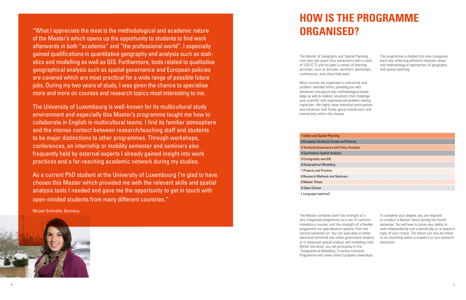# **HOW IS THE PROGRAMME ORGANISED?**

The Master of Geography and Spatial Planning runs over two years (four semesters) with a total of 120 ECTS and includes a variety of learning activities, such as lectures, seminars, workshops, conferences, and urban field work.

Most courses are organised in interactive and problem-oriented forms, providing you with advanced conceptual and methodological knowledge as well as realistic situations that challenge your scientific and organisational problem-solving capacities. We highly value individual participation and initiatives that foster group interactions and interactivity within the classes.

The programme is divided into nine categories, each one reflecting different thematic areas and methodological approaches of geography and spatial planning.

The Master combines both the strength of a very integrated programme via a set of common mandatory courses, and the strength of a flexible programme via specialisation options from the second semester on. You can specialise in either advanced territorial and urban governance analysis or in advanced spatial analysis and modelling tools. Within the latter, you will participate in the "Geographical Modelling" Erasmus Intensive Programme with seven other European universities.

To complete your degree, you are required to conduct a Master thesis during the fourth semester. You will have to prove your ability to work independently and scientifically on a research topic of your choice. The thesis can also be linked to an internship within a research or non-research institution

1 Urban and Spatial Planning 2 European Territorial Trends and Policies 3 Territorial Governance and Policy Analysis 4 Quantitative Spatial Analysis 5 Cartography and GIS 6 Geographical Modelling 7 Projects and Practice 8 Research Methods and Seminars 9 Master Thesis O Open Course L Language (optional)

"What I appreciate the most is the methodological and academic nature of the Master's which opens up the opportunity to students to find work afterwards in both "academia" and "the professional world". I especially gained qualifications in quantitative geography and analysis such as statistics and modelling as well as GIS. Furthermore, tools related to qualitative geographical analysis such as spatial governance and European policies are covered which are most practical for a wide range of possible future jobs. During my two years of study, I was given the chance to specialise more and more on courses and research topics most interesting to me.

The University of Luxembourg is well-known for its multicultural study environment and especially this Master's programme taught me how to collaborate in English in multicultural teams. I find its familiar atmosphere and the intense contact between research/teaching staff and students to be major distinctions to other programmes. Through workshops, conferences, an internship or mobility semester and seminars also frequently held by external experts I already gained insight into work practices and a far-reaching academic network during my studies.

As a current PhD student at the University of Luxembourg I'm glad to have chosen this Master which provided me with the relevant skills and spatial analysis tools I needed and gave me the opportunity to get in touch with open-minded students from many different countries."

Mirjam Schindler, Germany

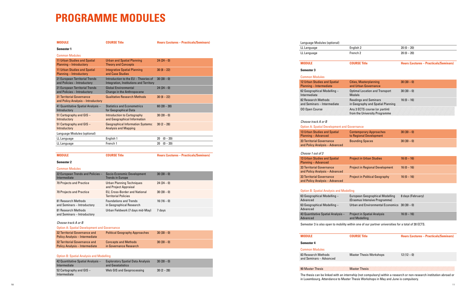# **PROGRAMME MODULES**

| <b>MODULE</b>                                                          | <b>COURSE Title</b>                                                | <b>Hours (Lectures - Practicals/Seminars)</b> |
|------------------------------------------------------------------------|--------------------------------------------------------------------|-----------------------------------------------|
| <b>Semester 1</b>                                                      |                                                                    |                                               |
| <b>Common Modules</b>                                                  |                                                                    |                                               |
| 11 Urban Studies and Spatial                                           | <b>Urban and Spatial Planning</b>                                  | $24(24-0)$                                    |
| <b>Planning - Introductory</b>                                         | <b>Theory and Concepts</b>                                         |                                               |
| 11 Urban Studies and Spatial<br><b>Planning - Introductory</b>         | <b>Integrative Spatial Planning</b><br>and Case Studies            | $30(8-22)$                                    |
| 21 European Territorial Trends                                         | Introduction to the EU - Theories of                               | $30(30-0)$                                    |
| and Policies - Introductory                                            | Integration, Institutions and Territory                            |                                               |
| 21 European Territorial Trends<br>and Policies - Introductory          | <b>Global Environmental</b><br><b>Change in the Anthropocene</b>   | $24(24-0)$                                    |
| <b>31 Territorial Governance</b><br>and Policy Analysis - Introductory | <b>Qualitative Research Methods</b>                                | $30(8-22)$                                    |
| 41 Quantitative Spatial Analysis -                                     | <b>Statistics and Econometrics</b>                                 | $60(30-30)$                                   |
| Introductory                                                           | for Geographical Data                                              |                                               |
| 51 Cartography and GIS -<br>Introductory                               | <b>Introduction to Cartography</b><br>and Geographical Information | $30(30-0)$                                    |
| 51 Cartography and GIS -                                               | <b>Geographical Information Systems:</b>                           | $30(2-28)$                                    |
| Introductory                                                           | <b>Analysis and Mapping</b>                                        |                                               |
| Language Modules (optional)                                            |                                                                    |                                               |
| LL Language                                                            | English 1                                                          | $20 (0 - 20)$                                 |
| LL Language                                                            | French 1                                                           | $20 (0 - 20)$                                 |
|                                                                        |                                                                    |                                               |
| <b>MODULE</b>                                                          | <b>COURSE Title</b>                                                | <b>Hours (Lectures - Practicals/Seminars)</b> |
| <b>Semester 2</b>                                                      |                                                                    |                                               |
| <b>Common Modules</b>                                                  |                                                                    |                                               |
| 22 European Trends and Policies -<br>Intermediate                      | Socio-Economic Development<br><b>Trends in Europe</b>              | $30(30-0)$                                    |
| <b>70 Projects and Practice</b>                                        | <b>Urban Planning Techniques</b><br>and Project Appraisal          | $24(24-0)$                                    |
| <b>70 Projects and Practice</b>                                        | EU, Cross-Border and National                                      | $30(30-0)$                                    |
|                                                                        | <b>Territorial Policies</b>                                        |                                               |
| 81 Research Methods<br>and Seminars - Introductory                     | <b>Foundations and Trends</b><br>in Geographical Research          | $16(16-0)$                                    |
| 81 Research Methods                                                    | Urban Fieldwork (7 days mid-May)                                   | 7 days                                        |
| and Seminars - Introductory                                            |                                                                    |                                               |
| Choose track A or B                                                    |                                                                    |                                               |
| <b>Option A: Spatial Development and Governance</b>                    |                                                                    |                                               |
| 32 Territorial Governance and<br><b>Policy Analysis - Intermediate</b> | <b>Political Geography Approaches</b>                              | $30(30-0)$                                    |
| 32 Territorial Governance and<br><b>Policy Analysis - Intermediate</b> | <b>Concepts and Methods</b><br>in Governance Research              | $30(30-0)$                                    |
|                                                                        |                                                                    |                                               |
| <b>Option B: Spatial Analysis and Modelling</b>                        |                                                                    |                                               |
| 42 Quantitative Spatial Analysis -<br>Intermediate                     | <b>Exploratory Spatial Data Analysis</b><br>and Geostatistics      | $30(30-0)$                                    |
| 52 Cartography and GIS -                                               | <b>Web GIS and Geoprocessing</b>                                   | $30(2-28)$                                    |
| Intermediate                                                           |                                                                    |                                               |

| LL Language | English 2           | $20(0-20)$ |
|-------------|---------------------|------------|
| LL Language | French <sub>2</sub> | $20(0-20)$ |

**MODULE COURSE Title Hours (Lectures – Practicals/Seminars)**

| <b>12 Urban Studies and Spatial</b><br>Planning - Intermediate | Cities, Masterplanning<br>and Urban Governance                    | $30(30-0)$   |
|----------------------------------------------------------------|-------------------------------------------------------------------|--------------|
| 62 Geographical Modelling –<br>Intermediate                    | <b>Optimal Location and Transport</b><br><b>Models</b>            | $30(30-0)$   |
| 82 Research Methods<br>and Seminars - Intermediate             | <b>Readings and Seminars</b><br>in Geography and Spatial Planning | $16(0 - 16)$ |
| 00 Open Course                                                 | Any 3 ECTS course (or partim)<br>from the University Programme.   |              |

| <b>Contemporary Approaches</b><br>to Regional Development | $30(30-0)$ |
|-----------------------------------------------------------|------------|
| <b>Bounding Spaces</b>                                    | $30(30-0)$ |

| <b>Project in Urban Studies</b>        | $16(0 - 16)$ |
|----------------------------------------|--------------|
| <b>Project in Regional Development</b> | $16(0 - 16)$ |
| <b>Project in Political Geography</b>  | $16(0 - 16)$ |

#### **Analysis and Modelling**

| European Geographical Modelling<br>(Erasmus Intensive Programme) | 8 days (February) |
|------------------------------------------------------------------|-------------------|
| Urban and Environmental Economics $30(30-0)$                     |                   |
| <b>Project in Spatial Analysis</b><br>and Modelling              | $16(0 - 16)$      |

o open to mobility within one of our partner universities for a total of 30 ECTS.

**MODULE COURSE Title Hours (Lectures – Practicals/Seminars)**

| <b>Master Thesis Workshops</b> | $12(12-0)$ |
|--------------------------------|------------|
|--------------------------------|------------|

#### 90 Master Thesis Master Thesis

The thesis can be linked with an internship (not compulsory) within a research or non-research institution abroad or in Luxembourg. Attendance to Master Thesis Workshops in May and June is compulsory.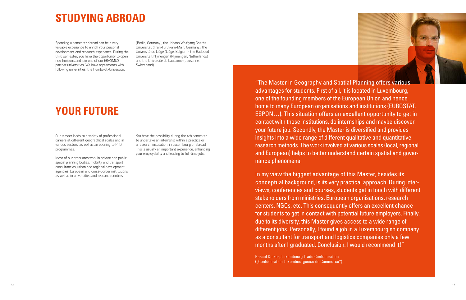# **STUDYING ABROAD**

## **YOUR FUTURE**

Spending a semester abroad can be a very valuable experience to enrich your personal development and research experience. During the third semester, you have the opportunity to open new horizons and join one of our ERASMUS partner universities. We have agreements with following universities: the Humboldt-Universität

(Berlin, Germany), the Johann Wolfgang Goethe-Universität (Frankfurth-am-Main, Germany), the Université de Liège (Liège, Belgium), the Radboud Universiteit Nijmengen (Nijmengen, Netherlands) and the Université de Lausanne (Lausanne, Switzerland).

Our Master leads to a variety of professional careers at different geographical scales and in various sectors, as well as an opening to PhD programmes.

Most of our graduates work in private and public spatial planning bodies, mobility and transport consultancies, urban and regional development agencies, European and cross-border institutions, as well as in universities and research centres.

You have the possibility during the 4th semester to undertake an internship within a practice or a research institution, in Luxembourg or abroad. This is usually an important experience, enhancing your employability and leading to full-time jobs.

"The Master in Geography and Spatial Planning offers various advantages for students. First of all, it is located in Luxembourg, one of the founding members of the European Union and hence home to many European organisations and institutions (EUROSTAT, ESPON…). This situation offers an excellent opportunity to get in contact with those institutions, do internships and maybe discover your future job. Secondly, the Master is diversified and provides insights into a wide range of different qualitative and quantitative research methods. The work involved at various scales (local, regional and European) helps to better understand certain spatial and governance phenomena.

In my view the biggest advantage of this Master, besides its conceptual background, is its very practical approach. During interviews, conferences and courses, students get in touch with different stakeholders from ministries, European organisations, research centers, NGOs, etc. This consequently offers an excellent chance for students to get in contact with potential future employers. Finally, due to its diversity, this Master gives access to a wide range of different jobs. Personally, I found a job in a Luxembourgish company as a consultant for transport and logistics companies only a few months after I graduated. Conclusion: I would recommend it!"

Pascal Dickes, Luxembourg Trade Confederation ("Conféderation Luxembourgeoise du Commerce")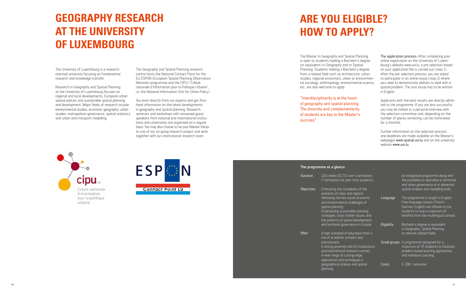# **GEOGRAPHY RESEARCH AT THE UNIVERSITY OF LUXEMBOURG**

The University of Luxembourg is a researchoriented university focusing on fundamental research and knowledge transfer.

Research in Geography and Spatial Planning at the University of Luxembourg focuses on regional and local developments, European urban spatial policies and sustainable spatial planning and development. Major fields of research include environmental studies, economic geography, urban studies, metropolitan governance, spatial statistics and urban and transport modelling.

You learn directly from our experts and get firsthand information on the latest developments in geography and spatial planning. Research seminars and workshops with renowned guest speakers from national and international institutions and universities are organised on a regular basis. You may also choose to tie your Master thesis to one of our on going research project and work together with our international research team.

The Geography and Spatial Planning research centre hosts the National Contact Point for the EU ESPON (European Spatial Planning Observatory Network) programme and the CIPU ("Cellule nationale d'Information pour la Politique Urbaine", i.e. the National Information Unit for Urban Policy).



The Master in Geography and Spatial Planning is open to students holding a Bachelor's degree (or equivalent) in Geography and or Spatial Planning. Students holding a Bachelor's degree from a related field such as architecture, urban studies, regional economics, urban or environmental sociology, anthropology, environmental science, etc. are also welcome to apply.

"Interdisciplinarity is at the heart of geography and spatial planning. The diversity and complementarity of students are key to the Master's success"





The application process: After completing your online registration on the University of Luxembourg's website www.uni.lu, a pre selection based on your application file is carried out (step 1). After the pre selection process, you are asked to participate in an online essay (step 2) where you need to demonstrate abilities to deal with a spatial problem. The test essay has to be written in English.

Applicants with the best results are directly admitted to the programme. If you are less successful, you may be invited to a personal interview with the selection committee and, depending on the number of places remaining, can be nominated for a shortlist.

Further information on the selection process and deadlines are made available on the Master's webpages www.spatial.uni.lu and on the university website www.uni.lu.

| The programme at a glance |                                                                                                                                                                                                               |             |                                                                                                                                                                                          |
|---------------------------|---------------------------------------------------------------------------------------------------------------------------------------------------------------------------------------------------------------|-------------|------------------------------------------------------------------------------------------------------------------------------------------------------------------------------------------|
| Duration                  | 120 credits (ECTS) over 4 semesters<br>(7 semesters for part-time students)                                                                                                                                   |             | An integrated programme along with<br>the possibility to specialise in territorial<br>and urban governance or in advanced                                                                |
| <b>Objectives</b>         | Embracing the complexity of the<br>evolution of cities and regions.                                                                                                                                           |             | spatial analysis and modelling tools.                                                                                                                                                    |
|                           | Adressing the key social, economic<br>and environmental challenges of<br>spatial planning.<br>Emphasizing sustainable planning<br>strategies, cross-border issues, and<br>the patterns of spatial development | Language    | The programme is taught in English.<br>Free language classes (French,<br>German, English) are offered to the<br>students to reap a maximum of<br>benefits from the multilingual context. |
|                           | and territorial governance in Europe.                                                                                                                                                                         | Eligibility | Bachelor's degree or equivalent<br>in Geography, Spatial Planning                                                                                                                        |
| <b>Offer</b>              | A high standard of education from a<br>mix of academic scholars and                                                                                                                                           |             | or relevant related fields.                                                                                                                                                              |
|                           | practitioners.<br>A strong proximity with EU institutions<br>and international research centres.<br>A wide range of cutting-edge<br>approaches and techniques in                                              |             | Small groups A programme designed for a<br>maximum of 25 students to facilitate<br>problem-based learning approaches<br>and individual coaching.                                         |
|                           | geographical analysis and spatial<br>planning.                                                                                                                                                                | Costs       | € 200 / semester                                                                                                                                                                         |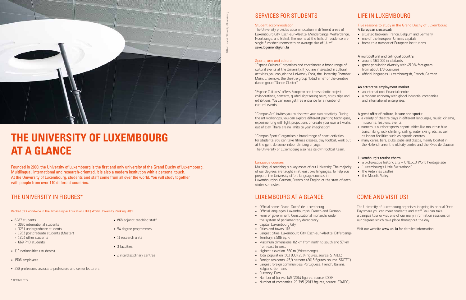

# **THE UNIVERSITY OF LUXEMBOURG AT A GLANCE**

Founded in 2003, the University of Luxembourg is the first and only university of the Grand Duchy of Luxembourg. Multilingual, international and research-oriented, it is also a modern institution with a personal touch. At the University of Luxembourg, students and staff come from all over the world. You will study together with people from over 110 different countries.

### SERVICES FOR STUDENTS

#### Student accommodation

The University provides accommodation in different areas of Luxembourg City, Esch-sur-Alzette, Mondercange, Walferdange, Noertzange, and Belval. The rooms at the halls of residence are single furnished rooms with an average size of  $14 \text{ m}^2$ . seve.logement@uni.lu

#### Sports, arts and culture

"Espace Cultures" organises and coordinates a broad range of cultural events at the University. If you are interested in cultural activities, you can join the University Choir, the University Chamber Music Ensemble, the theatre group "Edudrame" or the creative dance group "Dance Cluster".

- situated between France, Belgium and Germany
- one of the European Union's capitals
- home to a number of European Institutions

"Espace Cultures" offers European and transatlantic project collaborations, concerts, guided sightseeing tours, study trips and exhibitions. You can even get free entrance for a number of cultural events.

- around 563 000 inhabitants
- great population diversity with 45.9% foreigners from about 170 countries
- official languages: Luxembourgish, French, German

"Campus Art" invites you to discover your own creativity. During the art workshops, you can explore different painting techniques, experimenting with light projections or create your own art works out of clay. There are no limits to your imagination!

"Campus Sports" organises a broad range of sport activities for students: you can take fitness classes, play football, work out at the gym, do some indoor climbing or yoga. The University of Luxembourg also has its own football team.

#### Language courses

Multilingual teaching is a key asset of our University. The majority of our degrees are taught in at least two languages. To help you prepare, the University offers language courses in Luxembourgish, German, French and English at the start of each winter semester.

- 868 adjunct teaching staff
- 54 degree programmes
- 11 research units
- 3 faculties
- 2 interdisciplinary centres

### LIFE IN LUXEMBOURG

### Five reasons to study in the Grand Duchy of Luxembourg

### A European crossroad:

- Official name: Grand-Duché de Luxembourg
- Official languages: Luxembourgish, French and German
- Form of government: Constitutional monarchy under the system of parliamentary democracy
- Capital: Luxembourg City
- Cities and towns: 116
- Largest cities: Luxembourg City, Esch-sur-Alzette, Differdange
- Territory: 2,586 sq. km
- Maximum dimensions: 82 km from north to south and 57 km from east to west
- Highest elevation: 560 m (Wilwerdange)
- Total population: 563 000 (2014 figures, source: STATEC)
- Foreign residents: 45,9 percent (2015 figures, source: STATEC)
- Largest foreign communities: Portuguese, French, Italians, Belgians, Germans
- Currency: Euro
- Number of banks: 149 (2014 figures, source: CSSF)
- **16 17** • Number of companies: 29 795 (2013 figures, source: STATEC)
- \* October 2015

### A multicultural and trilingual country:

#### An attractive employment market:

- an international financial centre
- a modern economy with global industrial companies and international enterprises

### A great offer of culture, leisure and sports:

- a variety of theatre plays in different languages, music, cinema, museums, festivals, events
- numerous outdoor sports opportunities like mountain bike trails, hiking, rock climbing, sailing, water skiing, etc. as well as indoor facilities such as aquatic centres
- many cafes, bars, clubs, pubs and discos, mainly located in the Hollerich area, the old city centre and the Rives de Clausen

#### Luxembourg's tourist charm:

- a picturesque historic city UNESCO World heritage site
- "Luxembourg's Little Switzerland"
- the Ardennes castles
- the Moselle Valley.

### COME AND VISIT US!

The University of Luxembourg organises in spring its annual Open Day where you can meet students and staff. You can take a campus tour or visit one of our many information sessions on our degrees which take place throughout the day.

Visit our website www.uni.lu for detailed information .

### THE UNIVERSITY IN FIGURES\*

Ranked 193 worldwide in the Times Higher Education (THE) World University Ranking 2015

- 6287 students
- > 3080 international students
- › 3231 undergraduate students
- › 1283 postgraduate students (Master)
- › 1204 other students › 669 PhD students
- 
- 110 nationalities (students)
- 1506 employees
- 238 professors, associate professors and senior lecturers

### LUXEMBOURG AT A GLANCE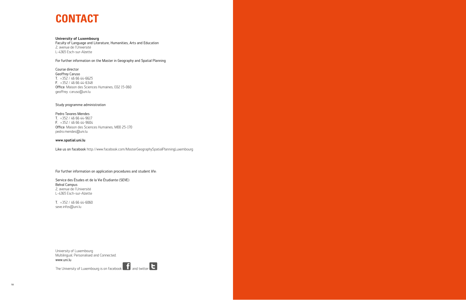#### University of Luxembourg

Faculty of Language and Literature, Humanities, Arts and Education 2, avenue de l'Université L-4365 Esch-sur-Alzette

For further information on the Master in Geography and Spatial Planning

Course director Geoffrey Caruso T. +352 / 46 66 44-6625 F. +352 / 46 66 44-6348 Office: Maison des Sciences Humaines, E02 15-060 geoffrey. caruso@uni.lu

#### Study programme administration

#### Pedro Tavares Mendes

T. +352 / 46 66 44-9617 F. +352 / 46 66 44-9604 Office: Maison des Sciences Humaines, M00 25-170 pedro.mendes@uni.lu

#### www.spatial.uni.lu

Like us on facebook http://www.facebook.com/MasterGeographySpatialPlanningLuxembourg

For further information on application procedures and student life:

Service des Études et de la Vie Étudiante (SEVE) Belval Campus 2, avenue de l'Université L-4365 Esch-sur-Alzette

T. +352 / 46 66 44-6060 seve.infos@uni.lu

www.uni.lu University of Luxembourg Multilingual, Personalised and Connected.

The University of Luxembourg is on facebook  $\begin{array}{|c|c|} \hline \textbf{f} & \textbf{a} \end{array}$  and twitter  $\begin{array}{|c|c|} \hline \textbf{f} & \textbf{a} \end{array}$ 

### **CONTACT**